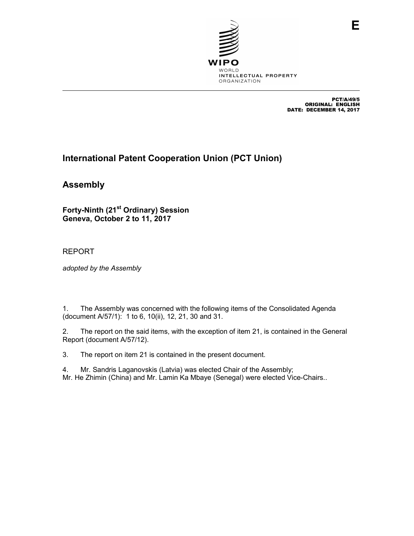

PCT/A/49/5 ORIGINAL: ENGLISH DATE: DECEMBER 14, 2017

# **International Patent Cooperation Union (PCT Union)**

**Assembly** 

**Forty-Ninth (21st Ordinary) Session Geneva, October 2 to 11, 2017** 

REPORT

*adopted by the Assembly* 

1. The Assembly was concerned with the following items of the Consolidated Agenda (document A/57/1): 1 to 6, 10(ii), 12, 21, 30 and 31.

2. The report on the said items, with the exception of item 21, is contained in the General Report (document A/57/12).

3. The report on item 21 is contained in the present document.

4. Mr. Sandris Laganovskis (Latvia) was elected Chair of the Assembly; Mr. He Zhimin (China) and Mr. Lamin Ka Mbaye (Senegal) were elected Vice-Chairs..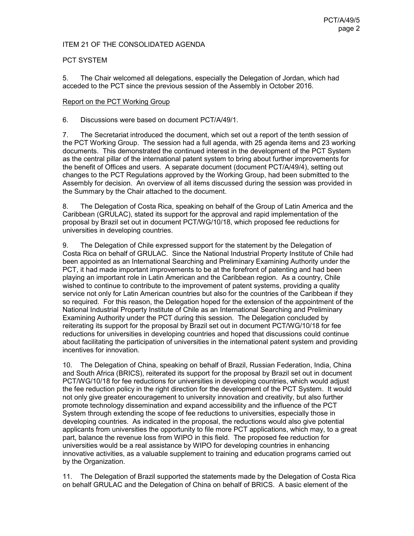#### ITEM 21 OF THE CONSOLIDATED AGENDA

# PCT SYSTEM

5. The Chair welcomed all delegations, especially the Delegation of Jordan, which had acceded to the PCT since the previous session of the Assembly in October 2016.

#### Report on the PCT Working Group

6. Discussions were based on document PCT/A/49/1.

7. The Secretariat introduced the document, which set out a report of the tenth session of the PCT Working Group. The session had a full agenda, with 25 agenda items and 23 working documents. This demonstrated the continued interest in the development of the PCT System as the central pillar of the international patent system to bring about further improvements for the benefit of Offices and users. A separate document (document PCT/A/49/4), setting out changes to the PCT Regulations approved by the Working Group, had been submitted to the Assembly for decision. An overview of all items discussed during the session was provided in the Summary by the Chair attached to the document.

8. The Delegation of Costa Rica, speaking on behalf of the Group of Latin America and the Caribbean (GRULAC), stated its support for the approval and rapid implementation of the proposal by Brazil set out in document PCT/WG/10/18, which proposed fee reductions for universities in developing countries.

9. The Delegation of Chile expressed support for the statement by the Delegation of Costa Rica on behalf of GRULAC. Since the National Industrial Property Institute of Chile had been appointed as an International Searching and Preliminary Examining Authority under the PCT, it had made important improvements to be at the forefront of patenting and had been playing an important role in Latin American and the Caribbean region. As a country, Chile wished to continue to contribute to the improvement of patent systems, providing a quality service not only for Latin American countries but also for the countries of the Caribbean if they so required. For this reason, the Delegation hoped for the extension of the appointment of the National Industrial Property Institute of Chile as an International Searching and Preliminary Examining Authority under the PCT during this session. The Delegation concluded by reiterating its support for the proposal by Brazil set out in document PCT/WG/10/18 for fee reductions for universities in developing countries and hoped that discussions could continue about facilitating the participation of universities in the international patent system and providing incentives for innovation.

10. The Delegation of China, speaking on behalf of Brazil, Russian Federation, India, China and South Africa (BRICS), reiterated its support for the proposal by Brazil set out in document PCT/WG/10/18 for fee reductions for universities in developing countries, which would adjust the fee reduction policy in the right direction for the development of the PCT System. It would not only give greater encouragement to university innovation and creativity, but also further promote technology dissemination and expand accessibility and the influence of the PCT System through extending the scope of fee reductions to universities, especially those in developing countries. As indicated in the proposal, the reductions would also give potential applicants from universities the opportunity to file more PCT applications, which may, to a great part, balance the revenue loss from WIPO in this field. The proposed fee reduction for universities would be a real assistance by WIPO for developing countries in enhancing innovative activities, as a valuable supplement to training and education programs carried out by the Organization.

11. The Delegation of Brazil supported the statements made by the Delegation of Costa Rica on behalf GRULAC and the Delegation of China on behalf of BRICS. A basic element of the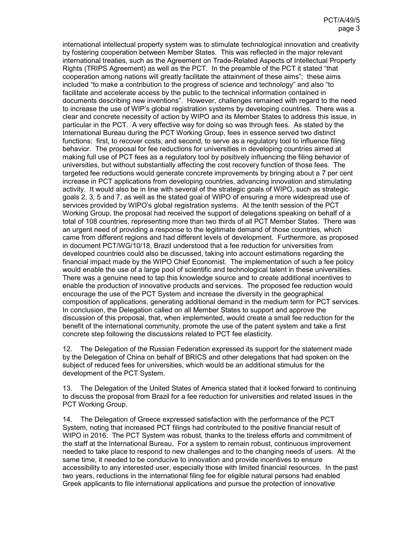international intellectual property system was to stimulate technological innovation and creativity by fostering cooperation between Member States. This was reflected in the major relevant international treaties, such as the Agreement on Trade-Related Aspects of Intellectual Property Rights (TRIPS Agreement) as well as the PCT. In the preamble of the PCT it stated "that cooperation among nations will greatly facilitate the attainment of these aims"; these aims included "to make a contribution to the progress of science and technology" and also "to facilitate and accelerate access by the public to the technical information contained in documents describing new inventions". However, challenges remained with regard to the need to increase the use of WIP's global registration systems by developing countries. There was a clear and concrete necessity of action by WIPO and its Member States to address this issue, in particular in the PCT. A very effective way for doing so was through fees. As stated by the International Bureau during the PCT Working Group, fees in essence served two distinct functions: first, to recover costs, and second, to serve as a regulatory tool to influence filing behavior. The proposal for fee reductions for universities in developing countries aimed at making full use of PCT fees as a regulatory tool by positively influencing the filing behavior of universities, but without substantially affecting the cost recovery function of those fees. The targeted fee reductions would generate concrete improvements by bringing about a 7 per cent increase in PCT applications from developing countries, advancing innovation and stimulating activity. It would also be in line with several of the strategic goals of WIPO, such as strategic goals 2, 3, 5 and 7, as well as the stated goal of WIPO of ensuring a more widespread use of services provided by WIPO's global registration systems. At the tenth session of the PCT Working Group, the proposal had received the support of delegations speaking on behalf of a total of 108 countries, representing more than two thirds of all PCT Member States. There was an urgent need of providing a response to the legitimate demand of those countries, which came from different regions and had different levels of development. Furthermore, as proposed in document PCT/WG/10/18, Brazil understood that a fee reduction for universities from developed countries could also be discussed, taking into account estimations regarding the financial impact made by the WIPO Chief Economist. The implementation of such a fee policy would enable the use of a large pool of scientific and technological talent in these universities. There was a genuine need to tap this knowledge source and to create additional incentives to enable the production of innovative products and services. The proposed fee reduction would encourage the use of the PCT System and increase the diversity in the geographical composition of applications, generating additional demand in the medium term for PCT services. In conclusion, the Delegation called on all Member States to support and approve the discussion of this proposal, that, when implemented, would create a small fee reduction for the benefit of the international community, promote the use of the patent system and take a first concrete step following the discussions related to PCT fee elasticity.

12. The Delegation of the Russian Federation expressed its support for the statement made by the Delegation of China on behalf of BRICS and other delegations that had spoken on the subject of reduced fees for universities, which would be an additional stimulus for the development of the PCT System.

13. The Delegation of the United States of America stated that it looked forward to continuing to discuss the proposal from Brazil for a fee reduction for universities and related issues in the PCT Working Group.

14. The Delegation of Greece expressed satisfaction with the performance of the PCT System, noting that increased PCT filings had contributed to the positive financial result of WIPO in 2016. The PCT System was robust, thanks to the tireless efforts and commitment of the staff at the International Bureau. For a system to remain robust, continuous improvement needed to take place to respond to new challenges and to the changing needs of users. At the same time, it needed to be conducive to innovation and provide incentives to ensure accessibility to any interested user, especially those with limited financial resources. In the past two years, reductions in the international filing fee for eligible natural persons had enabled Greek applicants to file international applications and pursue the protection of innovative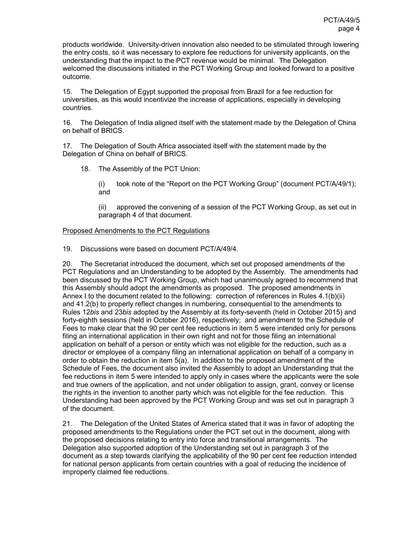products worldwide. University-driven innovation also needed to be stimulated through lowering the entry costs, so it was necessary to explore fee reductions for university applicants, on the understanding that the impact to the PCT revenue would be minimal. The Delegation welcomed the discussions initiated in the PCT Working Group and looked forward to a positive outcome.

15. The Delegation of Egypt supported the proposal from Brazil for a fee reduction for universities, as this would incentivize the increase of applications, especially in developing countries.

16. The Delegation of India aligned itself with the statement made by the Delegation of China on behalf of BRICS.

17. The Delegation of South Africa associated itself with the statement made by the Delegation of China on behalf of BRICS.

18. The Assembly of the PCT Union:

(i) took note of the "Report on the PCT Working Group" (document PCT/A/49/1); and

(ii) approved the convening of a session of the PCT Working Group, as set out in paragraph 4 of that document.

#### Proposed Amendments to the PCT Regulations

19. Discussions were based on document PCT/A/49/4.

20. The Secretariat introduced the document, which set out proposed amendments of the PCT Regulations and an Understanding to be adopted by the Assembly. The amendments had been discussed by the PCT Working Group, which had unanimously agreed to recommend that this Assembly should adopt the amendments as proposed. The proposed amendments in Annex I to the document related to the following: correction of references in Rules 4.1(b)(ii) and 41.2(b) to properly reflect changes in numbering, consequential to the amendments to Rules 12*bis* and 23*bis* adopted by the Assembly at its forty-seventh (held in October 2015) and forty-eighth sessions (held in October 2016), respectively; and amendment to the Schedule of Fees to make clear that the 90 per cent fee reductions in item 5 were intended only for persons filing an international application in their own right and not for those filing an international application on behalf of a person or entity which was not eligible for the reduction, such as a director or employee of a company filing an international application on behalf of a company in order to obtain the reduction in item 5(a). In addition to the proposed amendment of the Schedule of Fees, the document also invited the Assembly to adopt an Understanding that the fee reductions in item 5 were intended to apply only in cases where the applicants were the sole and true owners of the application, and not under obligation to assign, grant, convey or license the rights in the invention to another party which was not eligible for the fee reduction. This Understanding had been approved by the PCT Working Group and was set out in paragraph 3 of the document.

21. The Delegation of the United States of America stated that it was in favor of adopting the proposed amendments to the Regulations under the PCT set out in the document, along with the proposed decisions relating to entry into force and transitional arrangements. The Delegation also supported adoption of the Understanding set out in paragraph 3 of the document as a step towards clarifying the applicability of the 90 per cent fee reduction intended for national person applicants from certain countries with a goal of reducing the incidence of improperly claimed fee reductions.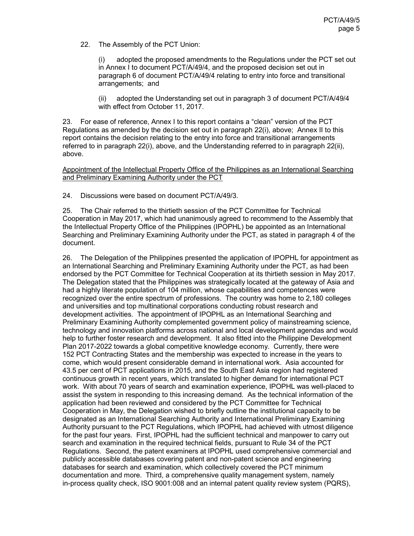22. The Assembly of the PCT Union:

(i) adopted the proposed amendments to the Regulations under the PCT set out in Annex I to document PCT/A/49/4, and the proposed decision set out in paragraph 6 of document PCT/A/49/4 relating to entry into force and transitional arrangements; and

(ii) adopted the Understanding set out in paragraph 3 of document PCT/A/49/4 with effect from October 11, 2017.

23. For ease of reference, Annex I to this report contains a "clean" version of the PCT Regulations as amended by the decision set out in paragraph 22(i), above; Annex II to this report contains the decision relating to the entry into force and transitional arrangements referred to in paragraph 22(i), above, and the Understanding referred to in paragraph 22(ii), above.

Appointment of the Intellectual Property Office of the Philippines as an International Searching and Preliminary Examining Authority under the PCT

24. Discussions were based on document PCT/A/49/3.

25. The Chair referred to the thirtieth session of the PCT Committee for Technical Cooperation in May 2017, which had unanimously agreed to recommend to the Assembly that the Intellectual Property Office of the Philippines (IPOPHL) be appointed as an International Searching and Preliminary Examining Authority under the PCT, as stated in paragraph 4 of the document.

26. The Delegation of the Philippines presented the application of IPOPHL for appointment as an International Searching and Preliminary Examining Authority under the PCT, as had been endorsed by the PCT Committee for Technical Cooperation at its thirtieth session in May 2017. The Delegation stated that the Philippines was strategically located at the gateway of Asia and had a highly literate population of 104 million, whose capabilities and competences were recognized over the entire spectrum of professions. The country was home to 2,180 colleges and universities and top multinational corporations conducting robust research and development activities. The appointment of IPOPHL as an International Searching and Preliminary Examining Authority complemented government policy of mainstreaming science, technology and innovation platforms across national and local development agendas and would help to further foster research and development. It also fitted into the Philippine Development Plan 2017-2022 towards a global competitive knowledge economy. Currently, there were 152 PCT Contracting States and the membership was expected to increase in the years to come, which would present considerable demand in international work. Asia accounted for 43.5 per cent of PCT applications in 2015, and the South East Asia region had registered continuous growth in recent years, which translated to higher demand for international PCT work. With about 70 years of search and examination experience, IPOPHL was well-placed to assist the system in responding to this increasing demand. As the technical information of the application had been reviewed and considered by the PCT Committee for Technical Cooperation in May, the Delegation wished to briefly outline the institutional capacity to be designated as an International Searching Authority and International Preliminary Examining Authority pursuant to the PCT Regulations, which IPOPHL had achieved with utmost diligence for the past four years. First, IPOPHL had the sufficient technical and manpower to carry out search and examination in the required technical fields, pursuant to Rule 34 of the PCT Regulations. Second, the patent examiners at IPOPHL used comprehensive commercial and publicly accessible databases covering patent and non-patent science and engineering databases for search and examination, which collectively covered the PCT minimum documentation and more. Third, a comprehensive quality management system, namely in-process quality check, ISO 9001:008 and an internal patent quality review system (PQRS),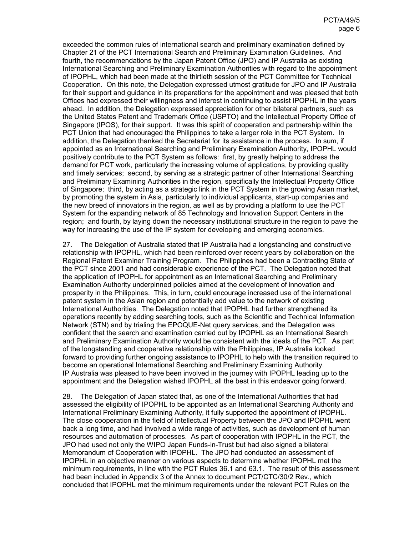exceeded the common rules of international search and preliminary examination defined by Chapter 21 of the PCT International Search and Preliminary Examination Guidelines. And fourth, the recommendations by the Japan Patent Office (JPO) and IP Australia as existing International Searching and Preliminary Examination Authorities with regard to the appointment of IPOPHL, which had been made at the thirtieth session of the PCT Committee for Technical Cooperation. On this note, the Delegation expressed utmost gratitude for JPO and IP Australia for their support and guidance in its preparations for the appointment and was pleased that both Offices had expressed their willingness and interest in continuing to assist IPOPHL in the years ahead. In addition, the Delegation expressed appreciation for other bilateral partners, such as the United States Patent and Trademark Office (USPTO) and the Intellectual Property Office of Singapore (IPOS), for their support. It was this spirit of cooperation and partnership within the PCT Union that had encouraged the Philippines to take a larger role in the PCT System. In addition, the Delegation thanked the Secretariat for its assistance in the process. In sum, if appointed as an International Searching and Preliminary Examination Authority, IPOPHL would positively contribute to the PCT System as follows: first, by greatly helping to address the demand for PCT work, particularly the increasing volume of applications, by providing quality and timely services; second, by serving as a strategic partner of other International Searching and Preliminary Examining Authorities in the region, specifically the Intellectual Property Office of Singapore; third, by acting as a strategic link in the PCT System in the growing Asian market, by promoting the system in Asia, particularly to individual applicants, start-up companies and the new breed of innovators in the region, as well as by providing a platform to use the PCT System for the expanding network of 85 Technology and Innovation Support Centers in the region; and fourth, by laying down the necessary institutional structure in the region to pave the way for increasing the use of the IP system for developing and emerging economies.

27. The Delegation of Australia stated that IP Australia had a longstanding and constructive relationship with IPOPHL, which had been reinforced over recent years by collaboration on the Regional Patent Examiner Training Program. The Philippines had been a Contracting State of the PCT since 2001 and had considerable experience of the PCT. The Delegation noted that the application of IPOPHL for appointment as an International Searching and Preliminary Examination Authority underpinned policies aimed at the development of innovation and prosperity in the Philippines. This, in turn, could encourage increased use of the international patent system in the Asian region and potentially add value to the network of existing International Authorities. The Delegation noted that IPOPHL had further strengthened its operations recently by adding searching tools, such as the Scientific and Technical Information Network (STN) and by trialing the EPOQUE-Net query services, and the Delegation was confident that the search and examination carried out by IPOPHL as an International Search and Preliminary Examination Authority would be consistent with the ideals of the PCT. As part of the longstanding and cooperative relationship with the Philippines, IP Australia looked forward to providing further ongoing assistance to IPOPHL to help with the transition required to become an operational International Searching and Preliminary Examining Authority. IP Australia was pleased to have been involved in the journey with IPOPHL leading up to the appointment and the Delegation wished IPOPHL all the best in this endeavor going forward.

28. The Delegation of Japan stated that, as one of the International Authorities that had assessed the eligibility of IPOPHL to be appointed as an International Searching Authority and International Preliminary Examining Authority, it fully supported the appointment of IPOPHL. The close cooperation in the field of Intellectual Property between the JPO and IPOPHL went back a long time, and had involved a wide range of activities, such as development of human resources and automation of processes. As part of cooperation with IPOPHL in the PCT, the JPO had used not only the WIPO Japan Funds-in-Trust but had also signed a bilateral Memorandum of Cooperation with IPOPHL. The JPO had conducted an assessment of IPOPHL in an objective manner on various aspects to determine whether IPOPHL met the minimum requirements, in line with the PCT Rules 36.1 and 63.1. The result of this assessment had been included in Appendix 3 of the Annex to document PCT/CTC/30/2 Rev., which concluded that IPOPHL met the minimum requirements under the relevant PCT Rules on the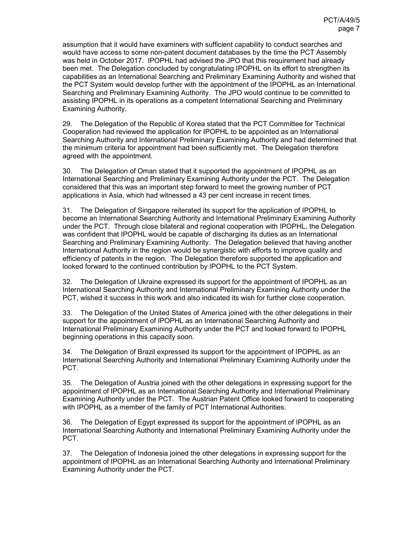assumption that it would have examiners with sufficient capability to conduct searches and would have access to some non-patent document databases by the time the PCT Assembly was held in October 2017. IPOPHL had advised the JPO that this requirement had already been met. The Delegation concluded by congratulating IPOPHL on its effort to strengthen its capabilities as an International Searching and Preliminary Examining Authority and wished that the PCT System would develop further with the appointment of the IPOPHL as an International Searching and Preliminary Examining Authority. The JPO would continue to be committed to assisting IPOPHL in its operations as a competent International Searching and Preliminary Examining Authority.

29. The Delegation of the Republic of Korea stated that the PCT Committee for Technical Cooperation had reviewed the application for IPOPHL to be appointed as an International Searching Authority and International Preliminary Examining Authority and had determined that the minimum criteria for appointment had been sufficiently met. The Delegation therefore agreed with the appointment.

30. The Delegation of Oman stated that it supported the appointment of IPOPHL as an International Searching and Preliminary Examining Authority under the PCT. The Delegation considered that this was an important step forward to meet the growing number of PCT applications in Asia, which had witnessed a 43 per cent increase in recent times.

31. The Delegation of Singapore reiterated its support for the application of IPOPHL to become an International Searching Authority and International Preliminary Examining Authority under the PCT. Through close bilateral and regional cooperation with IPOPHL, the Delegation was confident that IPOPHL would be capable of discharging its duties as an International Searching and Preliminary Examining Authority. The Delegation believed that having another International Authority in the region would be synergistic with efforts to improve quality and efficiency of patents in the region. The Delegation therefore supported the application and looked forward to the continued contribution by IPOPHL to the PCT System.

32. The Delegation of Ukraine expressed its support for the appointment of IPOPHL as an International Searching Authority and International Preliminary Examining Authority under the PCT, wished it success in this work and also indicated its wish for further close cooperation.

33. The Delegation of the United States of America joined with the other delegations in their support for the appointment of IPOPHL as an International Searching Authority and International Preliminary Examining Authority under the PCT and looked forward to IPOPHL beginning operations in this capacity soon.

34. The Delegation of Brazil expressed its support for the appointment of IPOPHL as an International Searching Authority and International Preliminary Examining Authority under the PCT.

35. The Delegation of Austria joined with the other delegations in expressing support for the appointment of IPOPHL as an International Searching Authority and International Preliminary Examining Authority under the PCT. The Austrian Patent Office looked forward to cooperating with IPOPHL as a member of the family of PCT International Authorities.

36. The Delegation of Egypt expressed its support for the appointment of IPOPHL as an International Searching Authority and International Preliminary Examining Authority under the PCT.

37. The Delegation of Indonesia joined the other delegations in expressing support for the appointment of IPOPHL as an International Searching Authority and International Preliminary Examining Authority under the PCT.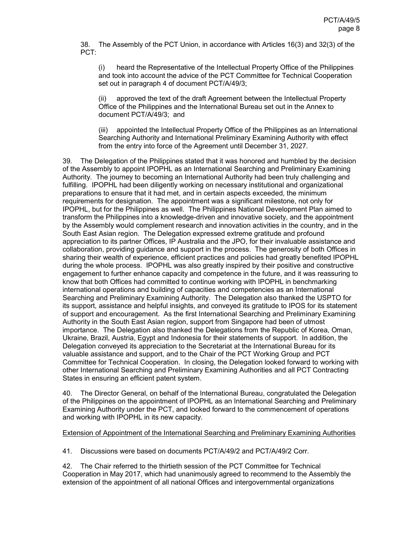38. The Assembly of the PCT Union, in accordance with Articles 16(3) and 32(3) of the PCT:

(i) heard the Representative of the Intellectual Property Office of the Philippines and took into account the advice of the PCT Committee for Technical Cooperation set out in paragraph 4 of document PCT/A/49/3;

(ii) approved the text of the draft Agreement between the Intellectual Property Office of the Philippines and the International Bureau set out in the Annex to document PCT/A/49/3; and

(iii) appointed the Intellectual Property Office of the Philippines as an International Searching Authority and International Preliminary Examining Authority with effect from the entry into force of the Agreement until December 31, 2027.

39. The Delegation of the Philippines stated that it was honored and humbled by the decision of the Assembly to appoint IPOPHL as an International Searching and Preliminary Examining Authority. The journey to becoming an International Authority had been truly challenging and fulfilling. IPOPHL had been diligently working on necessary institutional and organizational preparations to ensure that it had met, and in certain aspects exceeded, the minimum requirements for designation. The appointment was a significant milestone, not only for IPOPHL, but for the Philippines as well. The Philippines National Development Plan aimed to transform the Philippines into a knowledge-driven and innovative society, and the appointment by the Assembly would complement research and innovation activities in the country, and in the South East Asian region. The Delegation expressed extreme gratitude and profound appreciation to its partner Offices, IP Australia and the JPO, for their invaluable assistance and collaboration, providing guidance and support in the process. The generosity of both Offices in sharing their wealth of experience, efficient practices and policies had greatly benefited IPOPHL during the whole process. IPOPHL was also greatly inspired by their positive and constructive engagement to further enhance capacity and competence in the future, and it was reassuring to know that both Offices had committed to continue working with IPOPHL in benchmarking international operations and building of capacities and competencies as an International Searching and Preliminary Examining Authority. The Delegation also thanked the USPTO for its support, assistance and helpful insights, and conveyed its gratitude to IPOS for its statement of support and encouragement. As the first International Searching and Preliminary Examining Authority in the South East Asian region, support from Singapore had been of utmost importance. The Delegation also thanked the Delegations from the Republic of Korea, Oman, Ukraine, Brazil, Austria, Egypt and Indonesia for their statements of support. In addition, the Delegation conveyed its appreciation to the Secretariat at the International Bureau for its valuable assistance and support, and to the Chair of the PCT Working Group and PCT Committee for Technical Cooperation. In closing, the Delegation looked forward to working with other International Searching and Preliminary Examining Authorities and all PCT Contracting States in ensuring an efficient patent system.

40. The Director General, on behalf of the International Bureau, congratulated the Delegation of the Philippines on the appointment of IPOPHL as an International Searching and Preliminary Examining Authority under the PCT, and looked forward to the commencement of operations and working with IPOPHL in its new capacity.

# Extension of Appointment of the International Searching and Preliminary Examining Authorities

41. Discussions were based on documents PCT/A/49/2 and PCT/A/49/2 Corr.

42. The Chair referred to the thirtieth session of the PCT Committee for Technical Cooperation in May 2017, which had unanimously agreed to recommend to the Assembly the extension of the appointment of all national Offices and intergovernmental organizations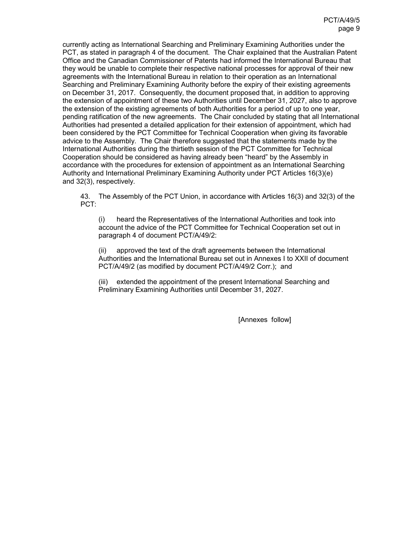currently acting as International Searching and Preliminary Examining Authorities under the PCT, as stated in paragraph 4 of the document. The Chair explained that the Australian Patent Office and the Canadian Commissioner of Patents had informed the International Bureau that they would be unable to complete their respective national processes for approval of their new agreements with the International Bureau in relation to their operation as an International Searching and Preliminary Examining Authority before the expiry of their existing agreements on December 31, 2017. Consequently, the document proposed that, in addition to approving the extension of appointment of these two Authorities until December 31, 2027, also to approve the extension of the existing agreements of both Authorities for a period of up to one year, pending ratification of the new agreements. The Chair concluded by stating that all International Authorities had presented a detailed application for their extension of appointment, which had been considered by the PCT Committee for Technical Cooperation when giving its favorable advice to the Assembly. The Chair therefore suggested that the statements made by the International Authorities during the thirtieth session of the PCT Committee for Technical Cooperation should be considered as having already been "heard" by the Assembly in accordance with the procedures for extension of appointment as an International Searching Authority and International Preliminary Examining Authority under PCT Articles 16(3)(e) and 32(3), respectively.

43. The Assembly of the PCT Union, in accordance with Articles 16(3) and 32(3) of the PCT:

(i) heard the Representatives of the International Authorities and took into account the advice of the PCT Committee for Technical Cooperation set out in paragraph 4 of document PCT/A/49/2:

(ii) approved the text of the draft agreements between the International Authorities and the International Bureau set out in Annexes I to XXII of document PCT/A/49/2 (as modified by document PCT/A/49/2 Corr.); and

extended the appointment of the present International Searching and Preliminary Examining Authorities until December 31, 2027.

[Annexes follow]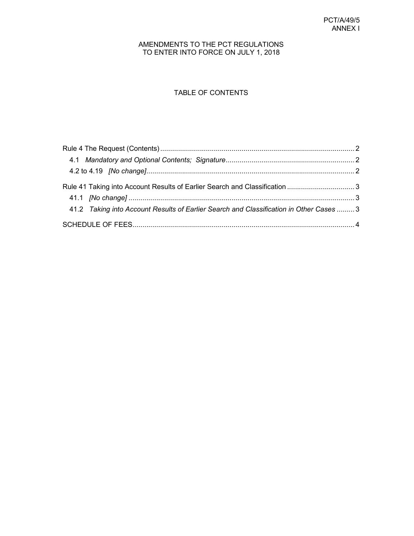# AMENDMENTS TO THE PCT REGULATIONS TO ENTER INTO FORCE ON JULY 1, 2018

# TABLE OF CONTENTS

| Rule 41 Taking into Account Results of Earlier Search and Classification  3 |                                                                                         |
|-----------------------------------------------------------------------------|-----------------------------------------------------------------------------------------|
|                                                                             |                                                                                         |
|                                                                             |                                                                                         |
|                                                                             | 41.2 Taking into Account Results of Earlier Search and Classification in Other Cases  3 |
|                                                                             |                                                                                         |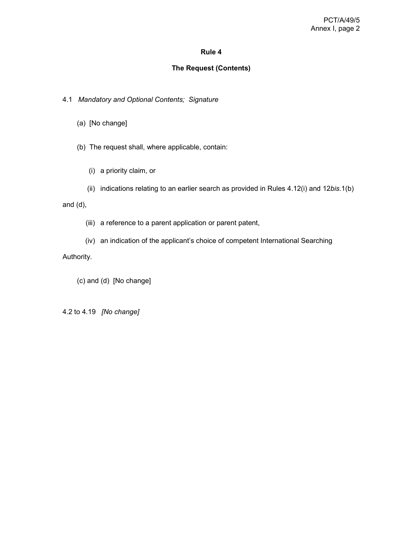# **Rule 4**

#### **The Request (Contents)**

4.1 *Mandatory and Optional Contents; Signature*

- (a) [No change]
- (b) The request shall, where applicable, contain:
	- (i) a priority claim, or
	- (ii) indications relating to an earlier search as provided in Rules 4.12(i) and 12*bis*.1(b)

and (d),

- (iii) a reference to a parent application or parent patent,
- (iv) an indication of the applicant's choice of competent International Searching

Authority.

(c) and (d) [No change]

4.2 to 4.19 *[No change]*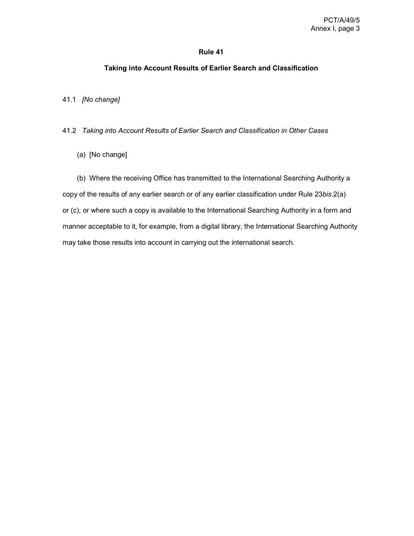#### **Rule 41**

#### **Taking into Account Results of Earlier Search and Classification**

41.1 *[No change]*

41.2 *Taking into Account Results of Earlier Search and Classification in Other Cases*

(a) [No change]

 (b) Where the receiving Office has transmitted to the International Searching Authority a copy of the results of any earlier search or of any earlier classification under Rule 23*bis*.2(a) or (c), or where such a copy is available to the International Searching Authority in a form and manner acceptable to it, for example, from a digital library, the International Searching Authority may take those results into account in carrying out the international search.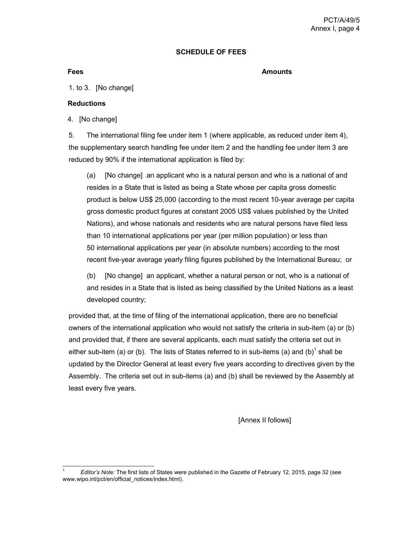#### **SCHEDULE OF FEES**

#### **Fees** Amounts **Amounts**

1. to 3. [No change]

#### **Reductions**

4. [No change]

5. The international filing fee under item 1 (where applicable, as reduced under item 4), the supplementary search handling fee under item 2 and the handling fee under item 3 are reduced by 90% if the international application is filed by:

 (a) [No change] an applicant who is a natural person and who is a national of and resides in a State that is listed as being a State whose per capita gross domestic product is below US\$ 25,000 (according to the most recent 10-year average per capita gross domestic product figures at constant 2005 US\$ values published by the United Nations), and whose nationals and residents who are natural persons have filed less than 10 international applications per year (per million population) or less than 50 international applications per year (in absolute numbers) according to the most recent five-year average yearly filing figures published by the International Bureau; or

 (b) [No change] an applicant, whether a natural person or not, who is a national of and resides in a State that is listed as being classified by the United Nations as a least developed country;

provided that, at the time of filing of the international application, there are no beneficial owners of the international application who would not satisfy the criteria in sub-item (a) or (b) and provided that, if there are several applicants, each must satisfy the criteria set out in either sub-item (a) or (b). The lists of States referred to in sub-items (a) and (b)<sup>1</sup> shall be updated by the Director General at least every five years according to directives given by the Assembly. The criteria set out in sub-items (a) and (b) shall be reviewed by the Assembly at least every five years.

[Annex II follows]

 $\overline{a}$ 1 *Editor's Note:* The first lists of States were published in the Gazette of February 12, 2015, page 32 (see www.wipo.int/pct/en/official\_notices/index.html).